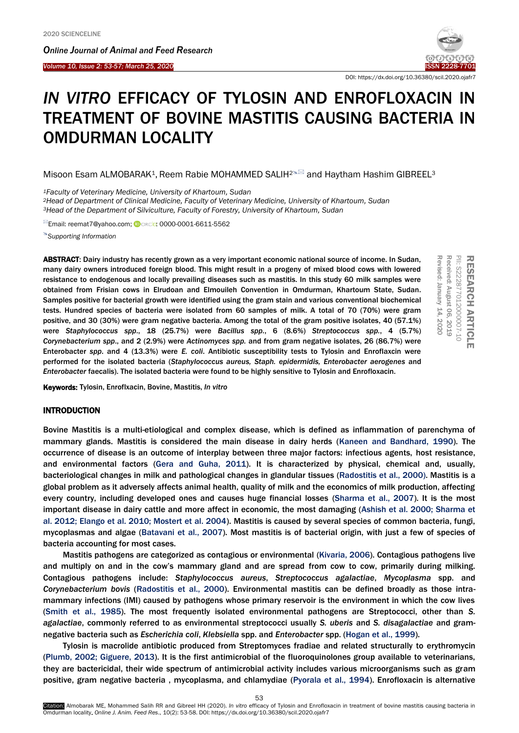*Online Journal of A[nimal and](http://www.ojafr.ir/main/) Feed Research*



RESEARCH

**RESS** 

PII: S222877012000007-10 Received: August 06, 2019 Revised: January 14, 2020

PII: S222877012000007-10

Ъe Received:

vised: January

ARTICLE

EARCH ARTICLE

DOI: https://dx.doi.org/10.36380/scil.2020.ojafr7

# *IN VITRO* EFFICACY OF TYLOSIN AND ENROFLOXACIN IN TREATMENT OF BOVINE MASTITIS CAUSING BACTERIA IN OMDURMAN LOCALITY

Misoon Esam ALMOBARAK<sup>1</sup>, Reem Rabie MOHAMMED SALIH<sup>2&2</sup> and Haytham Hashim GIBREEL<sup>3</sup>

*<sup>1</sup>Faculty of Veterinary Medicine, University of Khartoum, Sudan*

*<sup>2</sup>Head of Department of Clinical Medicine, Faculty of Veterinary Medicine, University of Khartoum, Sudan <sup>3</sup>Head of the Department of Silviculture, Faculty of Forestry, University of Khartoum, Sudan*

<sup>⊠</sup>Email[: reemat7@yahoo.com;](mailto:reemat7@yahoo.com) **D**orcin[: 0000-0001-6611-5562](https://orcid.org/0000-0001-6611-5562)

*[Supporting Information](#page-4-0)*

ABSTRACT: Dairy industry has recently grown as a very important economic national source of income. In Sudan, many dairy owners introduced foreign blood. This might result in a progeny of mixed blood cows with lowered resistance to endogenous and locally prevailing diseases such as mastitis. In this study 60 milk samples were obtained from Frisian cows in Elrudoan and Elmouileh Convention in Omdurman, Khartoum State, Sudan. Samples positive for bacterial growth were identified using the gram stain and various conventional biochemical tests. Hundred species of bacteria were isolated from 60 samples of milk. A total of 70 (70%) were gram positive, and 30 (30%) were gram negative bacteria. Among the total of the gram positive isolates, 40 (57.1%) were *Staphylococcus spp*., 18 (25.7%) were *Bacillus spp.*, 6 (8.6%) *Streptococcus spp.*, 4 (5.7%) *Corynebacterium spp*., and 2 (2.9%) were *Actinomyces spp.* and from gram negative isolates, 26 (86.7%) were Enterobacter *spp*. and 4 (13.3%) were *E. coli*. Antibiotic susceptibility tests to Tylosin and Enroflaxcin were performed for the isolated bacteria (*Staphylococcus aureus, Staph. epidermidis, Enterobacter aerogenes* and *Enterobacter* faecalis). The isolated bacteria were found to be highly sensitive to Tylosin and Enrofloxacin.

Keywords: Tylosin, Enroflxacin, Bovine, Mastitis, *In vitro*

## INTRODUCTION

Bovine Mastitis is a multi-etiological and complex disease, which is defined as inflammation of parenchyma of mammary glands. Mastitis is considered the main disease in dairy herds [\(Kaneen and Bandhard, 1990\).](#page-5-0) The occurrence of disease is an outcome of interplay between three major factors: infectious agents, host resistance, and environmental factors [\(Gera and Guha, 2011\)](#page-5-0). It is characterized by physical, chemical and, usually, bacteriological changes in milk and pathological changes in glandular tissues [\(Radostitis et al., 2000\)](#page-5-0). Mastitis is a global problem as it adversely affects animal health, quality of milk and the economics of milk production, affecting every country, including developed ones and causes huge financial losses [\(Sharma et al., 2007](#page-5-0)). It is the most important disease in dairy cattle and more affect in economic, the most damaging (Ashish [et al. 2000; Sharma et](#page-5-0)  [al. 2012; Elango et al. 2010; Mostert et al. 2004\).](#page-5-0) Mastitis is caused by several species of common bacteria, fungi, mycoplasmas and algae [\(Batavani et](#page-5-0) al., 2007). Most mastitis is of bacterial origin, with just a few of species of bacteria accounting for most cases.

Mastitis pathogens are categorized as contagious or environmental ([Kivaria, 2006\)](#page-5-0). Contagious pathogens live and multiply on and in the cow's mammary gland and are spread from cow to cow, primarily during milking. Contagious pathogens include: *Staphylococcus aureus*, *Streptococcus agalactiae*, *Mycoplasma* spp. and *Corynebacterium bovis* [\(Radostitis et al., 2000\)](#page-5-0). Environmental mastitis can be defined broadly as those intramammary infections (IMI) caused by pathogens whose primary reservoir is the environment in which the cow lives (Smith et [al., 1985\).](#page-5-0) The most frequently isolated environmental pathogens are Streptococci, other than *S. agalactiae*, commonly referred to as environmental streptococci usually *S. uberis* and *S. disagalactiae* and gramnegative bacteria such as *Escherichia coli*, *Klebsiella* spp. and *Enterobacter* spp. [\(Hogan et al., 1999\).](#page-5-0) 

Tylosin is macrolide antibiotic produced from Streptomyces fradiae and related structurally to erythromycin (Plumb, 2002; [Giguere, 2013\).](#page-5-0) It is the first antimicrobial of the fluoroquinolones group available to veterinarians, they are bactericidal, their wide spectrum of antimicrobial activity includes various microorganisms such as gram positive, gram negative bacteria , mycoplasma, and chlamydiae [\(Pyorala et al., 1994](#page-5-0)). Enrofloxacin is alternative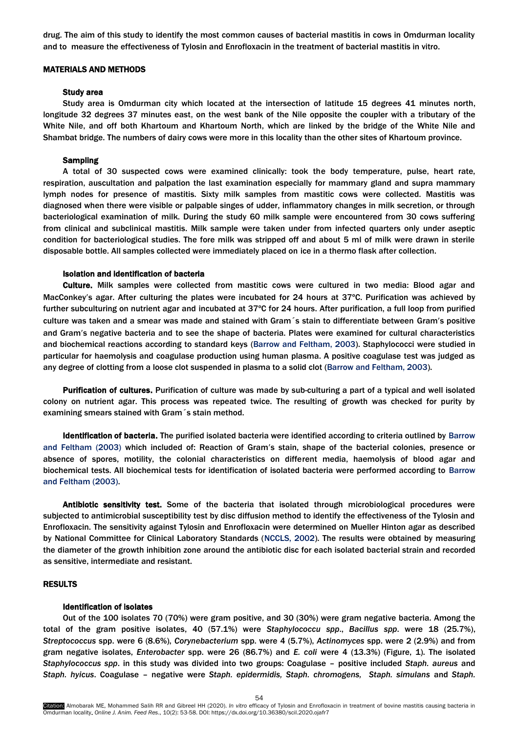drug. The aim of this study to identify the most common causes of bacterial mastitis in cows in Omdurman locality and to measure the effectiveness of Tylosin and Enrofloxacin in the treatment of bacterial mastitis in vitro.

# MATERIALS AND METHODS

## Study area

Study area is Omdurman city which located at the intersection of latitude 15 degrees 41 minutes north, longitude 32 degrees 37 minutes east, on the west bank of the Nile opposite the coupler with a tributary of the White Nile, and off both Khartoum and Khartoum North, which are linked by the bridge of the White Nile and Shambat bridge. The numbers of dairy cows were more in this locality than the other sites of Khartoum province.

## Sampling

A total of 30 suspected cows were examined clinically: took the body temperature, pulse, heart rate, respiration, auscultation and palpation the last examination especially for mammary gland and supra mammary lymph nodes for presence of mastitis. Sixty milk samples from mastitic cows were collected. Mastitis was diagnosed when there were visible or palpable singes of udder, inflammatory changes in milk secretion, or through bacteriological examination of milk. During the study 60 milk sample were encountered from 30 cows suffering from clinical and subclinical mastitis. Milk sample were taken under from infected quarters only under aseptic condition for bacteriological studies. The fore milk was stripped off and about 5 ml of milk were drawn in sterile disposable bottle. All samples collected were immediately placed on ice in a thermo flask after collection.

# Isolation and identification of bacteria

Culture. Milk samples were collected from mastitic cows were cultured in two media: Blood agar and MacConkey's agar. After culturing the plates were incubated for 24 hours at 37°C. Purification was achieved by further subculturing on nutrient agar and incubated at 37ºC for 24 hours. After purification, a full loop from purified culture was taken and a smear was made and stained with Gram s stain to differentiate between Gram's positive and Gram's negative bacteria and to see the shape of bacteria. Plates were examined for cultural characteristics and biochemical reactions according to standard keys [\(Barrow and Feltham, 2003](#page-5-0)). Staphylococci were studied in particular for haemolysis and coagulase production using human plasma. A positive coagulase test was judged as any degree of clotting from a loose clot suspended in plasma to a solid clot [\(Barrow and Feltham, 2003](#page-5-0)).

Purification of cultures. Purification of culture was made by sub-culturing a part of a typical and well isolated colony on nutrient agar. This process was repeated twice. The resulting of growth was checked for purity by examining smears stained with Gram´s stain method.

Identification of bacteria. The purified isolated bacteria were identified according to criteria outlined by [Barrow](#page-5-0)  [and Feltham \(2003\)](#page-5-0) which included of: Reaction of Gram's stain, shape of the bacterial colonies, presence or absence of spores, motility, the colonial characteristics on different media, haemolysis of blood agar and biochemical tests. All biochemical tests for identification of isolated bacteria were performed according to [Barrow](#page-5-0)  [and Feltham \(2003\).](#page-5-0)

Antibiotic sensitivity test. Some of the bacteria that isolated through microbiological procedures were subjected to antimicrobial susceptibility test by disc diffusion method to identify the effectiveness of the Tylosin and Enrofloxacin. The sensitivity against Tylosin and Enrofloxacin were determined on Mueller Hinton agar as described by National Committee for Clinical Laboratory Standards [\(NCCLS, 2002\)](#page-5-0). The results were obtained by measuring the diameter of the growth inhibition zone around the antibiotic disc for each isolated bacterial strain and recorded as sensitive, intermediate and resistant.

## RESULTS

# Identification of isolates

Out of the 100 isolates 70 (70%) were gram positive, and 30 (30%) were gram negative bacteria. Among the total of the gram positive isolates, 40 (57.1%) were *Staphylococcu spp*., *Bacillus spp*. were 18 (25.7%), *Streptococcus* spp. were 6 (8.6%), *Corynebacterium* spp. were 4 (5.7%), *Actinomyces* spp. were 2 (2.9%) and from gram negative isolates, *Enterobacter* spp. were 26 (86.7%) and *E. coli* were 4 (13.3%) (Figure, 1). The isolated *Staphylococcus spp*. in this study was divided into two groups: Coagulase – positive included *Staph. aureus* and *Staph. hyicus*. Coagulase – negative were *Staph. epidermidis, Staph. chromogens, Staph. simulans* and *Staph.*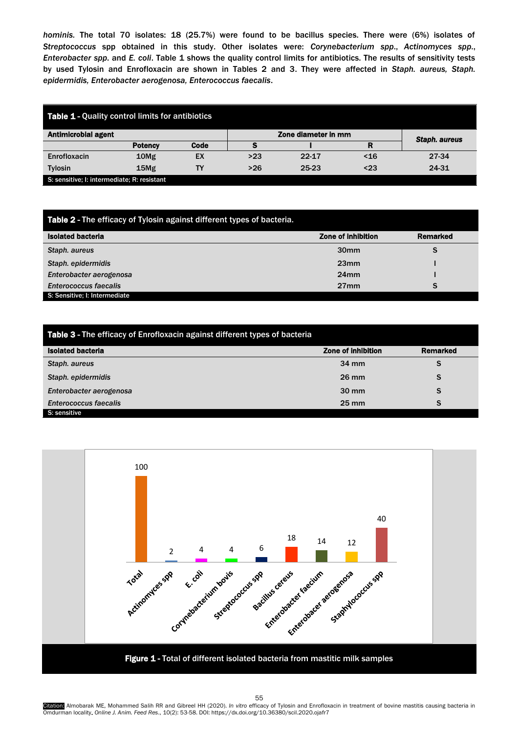*hominis.* The total 70 isolates: 18 (25.7%) were found to be bacillus species. There were (6%) isolates of *Streptococcus* spp obtained in this study. Other isolates were: *Corynebacterium spp*., *Actinomyces spp*., *Enterobacter spp*. and *E. coli*. Table 1 shows the quality control limits for antibiotics. The results of sensitivity tests by used Tylosin and Enrofloxacin are shown in Tables 2 and 3. They were affected in *Staph. aureus, Staph. epidermidis, Enterobacter aerogenosa, Enterococcus faecalis*.

| <b>Table 1 - Quality control limits for antibiotics</b> |                  |      |                     |           |     |               |  |  |
|---------------------------------------------------------|------------------|------|---------------------|-----------|-----|---------------|--|--|
| <b>Antimicrobial agent</b>                              |                  |      | Zone diameter in mm |           |     | Staph. aureus |  |  |
|                                                         | <b>Potency</b>   | Code |                     |           | R   |               |  |  |
| Enrofloxacin                                            | 10 <sub>Mg</sub> | EX   | >23                 | $22 - 17$ | ~16 | 27-34         |  |  |
| <b>Tylosin</b>                                          | 15Mg             | TΥ   | $>26$               | 25-23     | <23 | 24-31         |  |  |
| S: sensitive; I: intermediate; R: resistant             |                  |      |                     |           |     |               |  |  |

| Table 2 - The efficacy of Tylosin against different types of bacteria. |                    |                 |  |  |  |  |
|------------------------------------------------------------------------|--------------------|-----------------|--|--|--|--|
| <b>Isolated bacteria</b>                                               | Zone of inhibition | <b>Remarked</b> |  |  |  |  |
| Staph. aureus                                                          | 30 <sub>mm</sub>   | S               |  |  |  |  |
| Staph. epidermidis                                                     | 23mm               |                 |  |  |  |  |
| Enterobacter aerogenosa                                                | 24mm               |                 |  |  |  |  |
| <b>Enterococcus faecalis</b>                                           | 27 <sub>mm</sub>   | S               |  |  |  |  |
| S: Sensitive: I: Intermediate                                          |                    |                 |  |  |  |  |

| Table 3 - The efficacy of Enrofloxacin against different types of bacteria |                           |          |  |  |  |  |
|----------------------------------------------------------------------------|---------------------------|----------|--|--|--|--|
| <b>Isolated bacteria</b>                                                   | <b>Zone of inhibition</b> | Remarked |  |  |  |  |
| Staph. aureus                                                              | $34 \text{ mm}$           | S        |  |  |  |  |
| Staph. epidermidis                                                         | $26 \text{ mm}$           | S        |  |  |  |  |
| Enterobacter aerogenosa                                                    | $30 \text{ mm}$           | S        |  |  |  |  |
| <b>Enterococcus faecalis</b>                                               | $25 \text{ mm}$           | S        |  |  |  |  |
| S: sensitive                                                               |                           |          |  |  |  |  |



55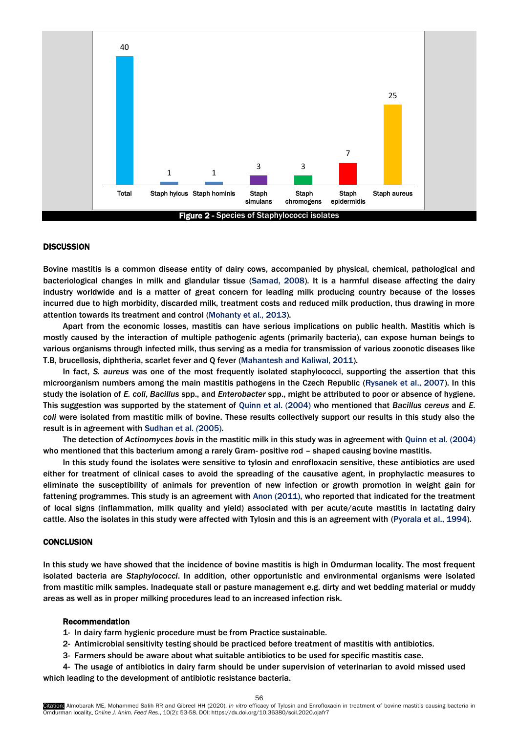

# **DISCUSSION**

Bovine mastitis is a common disease entity of dairy cows, accompanied by physical, chemical, pathological and bacteriological changes in milk and glandular tissue [\(Samad, 2008\).](#page-5-0) It is a harmful disease affecting the dairy industry worldwide and is a matter of great concern for leading milk producing country because of the losses incurred due to high morbidity, discarded milk, treatment costs and reduced milk production, thus drawing in more attention towards its treatment and cont[rol \(Mohanty](#page-5-0) et al*.,* 2013).

Apart from the economic losses, mastitis can have serious implications on public health. Mastitis which is mostly caused by the interaction of multiple pathogenic agents (primarily bacteria), can expose human beings to various organisms through infected milk, thus serving as a media for transmission of various zoonotic diseases like T.B, brucellosis, diphtheria, scarlet fever and Q fever [\(Mahantesh and Kaliwal, 2011\).](#page-5-0)

In fact, *S. aureus* was one of the most frequently isolated staphylococci, supporting the assertion that this microorganism numbers among the main mastitis pathogens in the Czech Republi[c \(Rysanek et al., 2007](#page-5-0)). In this study the isolation of *E. coli*, *Bacillus* spp., and *Enterobacter* spp., might be attributed to poor or absence of hygiene. This suggestion was supported by the statement [of Quinn et al.](#page-5-0) (2004) who mentioned that *Bacillus cereus* and *E. coli* were isolated from mastitic milk of bovine. These results collectively support our results in this study also the result is in agreement with [Sudhan et](#page-5-0) al*. (*2005).

The detection of *Actinomyces bovis* in the mastitic milk in this study was in agreement with [Quinn et](#page-5-0) al*.* (2004) who mentioned that this bacterium among a rarely Gram- positive rod – shaped causing bovine mastitis.

In this study found the isolates were sensitive to tylosin and enrofloxacin sensitive, these antibiotics are used either for treatment of clinical cases to avoid the spreading of the causative agent, in prophylactic measures to eliminate the susceptibility of animals for prevention of new infection or growth promotion in weight gain for fattening programmes. This study is an agreement [with Anon \(2011\)](#page-5-0), who reported that indicated for the treatment of local signs (inflammation, milk quality and yield) associated with per acute/acute mastitis in lactating dairy cattle. Also the isolates in this study were affected with Tylosin and this is an agreement with [\(Pyorala et al., 1994](#page-5-0)).

# **CONCLUSION**

In this study we have showed that the incidence of bovine mastitis is high in Omdurman locality. The most frequent isolated bacteria are *Staphylococci*. In addition, other opportunistic and environmental organisms were isolated from mastitic milk samples. Inadequate stall or pasture management e.g. dirty and wet bedding material or muddy areas as well as in proper milking procedures lead to an increased infection risk.

#### Recommendation

- 1- In dairy farm hygienic procedure must be from Practice sustainable.
- 2- Antimicrobial sensitivity testing should be practiced before treatment of mastitis with antibiotics.
- 3- Farmers should be aware about what suitable antibiotics to be used for specific mastitis case.
- 4- The usage of antibiotics in dairy farm should be under supervision of veterinarian to avoid missed used which leading to the development of antibiotic resistance bacteria.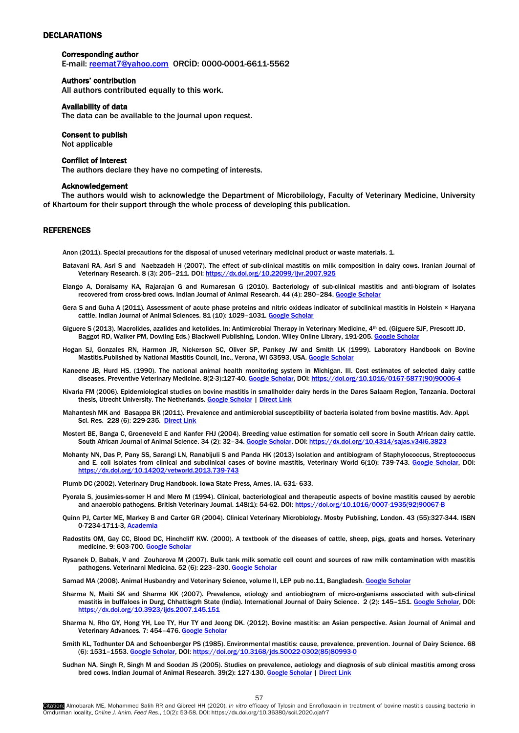# <span id="page-4-0"></span>**DECLARATIONS**

## Corresponding author

E-mail: [reemat7@yahoo.com](mailto:reemat7@yahoo.com) ORCİD: 0000-0001-6611-5562

# Authors' contribution

All authors contributed equally to this work.

#### Availability of data

The data can be available to the journal upon request.

#### Consent to publish

Not applicable

#### Conflict of interest

The authors declare they have no competing of interests.

### Acknowledgement

The authors would wish to acknowledge the Department of Microbilology, Faculty of Veterinary Medicine, University of Khartoum for their support through the whole process of developing this publication.

#### **REFERENCES**

Anon (2011). Special precautions for the disposal of unused veterinary medicinal product or waste materials. 1.

- Batavani RA, Asri S and Naebzadeh H (2007). The effect of sub-clinical mastitis on milk composition in dairy cows. Iranian Journal of Veterinary Research. 8 (3): 205–211. DOI[: https://dx.doi.org/10.22099/ijvr.2007.925](https://dx.doi.org/10.22099/ijvr.2007.925)
- Elango A, Doraisamy KA, Rajarajan G and Kumaresan G (2010). Bacteriology of sub-clinical mastitis and anti-biogram of isolates recovered from cross-bred cows. Indian Journal of Animal Research. 44 (4): 280-284. [Google Scholar](https://scholar.google.com/scholar?cluster=10739824917035061531&hl=en&as_sdt=0,5)
- Gera S and Guha A (2011). Assessment of acute phase proteins and nitric oxideas indicator of subclinical mastitis in Holstein × Haryana cattle. Indian Journal of Animal Sciences. 81 (10): 1029-1031. [Google Scholar](https://scholar.google.com/scholar?cluster=7246224846748651641&hl=en&as_sdt=0,5)
- Giguere S (2013). Macrolides, azalides and ketolides. In: Antimicrobial Therapy in Veterinary Medicine, 4th ed. (Giguere SJF, Prescott JD, Baggot RD, Walker PM, Dowling Eds.) Blackwell Publishing, London. Wiley Online Library, 191-205. [Google Scholar](https://scholar.google.com/scholar?cluster=514204515446613541&hl=en&as_sdt=0,5)
- Hogan SJ, Gonzales RN, Harmon JR, Nickerson SC, Oliver SP, Pankey JW and Smith LK (1999). Laboratory Handbook on Bovine Mastitis.Published by National Mastitis Council, Inc., Verona, WI 53593, USA. [Google Scholar](https://scholar.google.com/scholar?hl=en&as_sdt=0%2C5&q=Hogan+SJ%2C+Gonzales+RN%2C+Harmon+JR%2C+Nickerson+SC%2C+Oliver+SP%2C+Pankey+JW+and+Smith+LK+%281999%29.+Laboratory+Handbook+on+Bovine+Mastitis.Published+by+National+Mastitis+Council%2C+Inc.%2C+Verona%2C+WI+53593%2C+USA&btnG=)
- Kaneene JB, Hurd HS. (1990). The national animal health monitoring system in Michigan. III. Cost estimates of selected dairy cattle diseases. Preventive Veterinary Medicine. 8(2-3):127-40. [Google Scholar,](https://scholar.google.com/scholar?cluster=14688024940421170178&hl=en&as_sdt=0,5) DOI: https://doi.org/10.1016/0167-5877(90)90006-
- Kivaria FM (2006). Epidemiological studies on bovine mastitis in smallholder dairy herds in the Dares Salaam Region, Tanzania. Doctoral thesis, Utrecht University. The Netherlands. [Google Scholar](https://scholar.google.com/scholar?cluster=455775810569890185&hl=en&as_sdt=0,5) | Direct Link
- Mahantesh MK and Basappa BK (2011). Prevalence and antimicrobial susceptibility of bacteria isolated from bovine mastitis. Adv. Appl. Sci. Res. 228 (6): 229-235. [Direct Link](https://www.imedpub.com/abstract/prevalence-and-antimicrobial-susceptibility-of-bacteria-isolated-from-bovine-mastitis-17027.html)
- Mostert BE, Banga C, Groeneveld E and Kanfer FHJ (2004). Breeding value estimation for somatic cell score in South African dairy cattle. South African Journal of Animal Science. 34 (2): 32–34. [Google Scholar,](https://scholar.google.com/scholar?cluster=4379372634331475405&hl=en&as_sdt=0,5) DOI[: https://dx.doi.org/10.4314/sajas.v34i6.3823](https://dx.doi.org/10.4314/sajas.v34i6.3823)
- Mohanty NN, Das P, Pany SS, Sarangi LN, Ranabijuli S and Panda HK (2013) Isolation and antibiogram of Staphylococcus, Streptococcus and E. coli isolates from clinical and subclinical cases of bovine mastitis, Veterinary World 6(10): 739-743. [Google Scholar,](https://scholar.google.com/scholar?cluster=10404624548160981091&hl=en&as_sdt=0,5) DOI: <https://dx.doi.org/10.14202/vetworld.2013.739-743>

Plumb DC (2002). Veterinary Drug Handbook. Iowa State Press, Ames, IA. 631- 633.

- Pyorala S, jousimies-somer H and Mero M (1994). Clinical, bacteriological and therapeutic aspects of bovine mastitis caused by aerobic and anaerobic pathogens. British Veterinary Journal. 148(1): 54-62. DOI[: https://doi.org/10.1016/0007-1935\(92\)90067-B](https://doi.org/10.1016/0007-1935(92)90067-B)
- Quinn PJ, Carter ME, Markey B and Carter GR (2004). Clinical Veterinary Microbiology. Mosby Publishing, London. 43 (55):327-344. ISBN 0-7234-1711-3[, Academia](https://www.academia.edu/30228810/P.J._Quinn_M.E._Carter_B.K._Markey_and_G.R._Carter_Editors_Clinical_Veterinary_Microbiology_Wolfe_Publishing_London_1994_ISBN_0-7234-1711-3)
- Radostits OM, Gay CC, Blood DC, Hinchcliff KW. (2000). A textbook of the diseases of cattle, sheep, pigs, goats and horses. Veterinary medicine. 9: 603-700. [Google Scholar](https://scholar.google.com/scholar?hl=en&as_sdt=0%2C5&q=Radostitis+OM%2C+Gay+CC%2C+Blood+DC+and+Hinchkliff+KW+%282000%29.Veterinary+Medicine%3A+A+Textbook+of+the+Diseases+of+Cattle%2C+Sheep%2C+Pigs%2C+Goats+and+Horses.+9th+ed.+ELBS+and+Baillier+Tindall.++563%E2%80%93660&btnG=)
- Rysanek D, Babak, V and Zouharova M (2007). Bulk tank milk somatic cell count and sources of raw milk contamination with mastitis pathogens. Veterinarni Medicina. 52 (6): 223-230. [Google Scholar](https://scholar.google.com/scholar?cluster=2839587563512172938&hl=en&as_sdt=0,5)

Samad MA (2008). Animal Husbandry and Veterinary Science, volume II, LEP pub no.11, Bangladesh. [Google Scholar](https://scholar.google.com/scholar?hl=en&as_sdt=0%2C5&q=Samad+MA+%282008%29.+Animal+Husbandry+and+Veterinary+Science%2C+volume+II%2C+LEP+pub+no.11%2C+Bangladesh.+&btnG=)

- Sharma N, Maiti SK and Sharma KK (2007). Prevalence, etiology and antiobiogram of micro-organisms associated with sub-clinical mastitis in buffaloes in Durg, Chhattisgrh State (India). International Journal of Dairy Science. 2 (2): 145-151. [Google Scholar,](https://scholar.google.com/scholar?cluster=15716398471321748692&hl=en&as_sdt=0,5) DOI: <https://dx.doi.org/10.3923/ijds.2007.145.151>
- Sharma N, Rho GY, Hong YH, Lee TY, Hur TY and Jeong DK. (2012). Bovine mastitis: an Asian perspective. Asian Journal of Animal and Veterinary Advances. 7: 454-476. [Google Scholar](https://scholar.google.com/scholar?hl=en&as_sdt=0%2C5&q=Sharma+N%2C+Rho+GY%2C+Hong+YH%2C+Lee+TY%2C+Hur+TY+and+Jeong+DK.+%282012%29.+Bovine+mastitis%3A+an+Asian+perspective.+Asian+Journal+of+Animal+and+Veterinary+Advances.+7%3A+454%E2%80%93476.+&btnG=)
- Smith KL, Todhunter DA and Schoenberger PS (1985). Environmental mastitis: cause, prevalence, prevention. Journal of Dairy Science. 68 (6): 1531–1553. [Google Scholar,](https://scholar.google.com/scholar?cluster=3059000153554993070&hl=en&as_sdt=0,5) DOI[: https://doi.org/10.3168/jds.S0022-0302\(85\)80993-0](https://doi.org/10.3168/jds.S0022-0302(85)80993-0)
- Sudhan NA, Singh R, Singh M and Soodan JS (2005). Studies on prevalence, aetiology and diagnosis of sub clinical mastitis among cross bred cows. Indian Journal of Animal Research. 39(2): 127-130. [Google Scholar](https://scholar.google.com/scholar?cluster=2185603056249364820&hl=en&as_sdt=0,5) | Direct Link

57